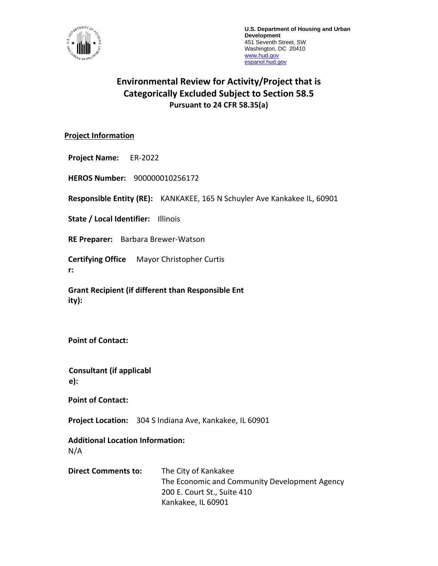

**U.S. Department of Housing and Urban Development** 451 Seventh Street, SW Washington, DC 20410 [www.hud.gov](http://www.hud.gov/) [espanol.hud.gov](file:///C:/Documents%20and%20Settings/ABehl/Desktop/MicroStrategy/EMIS/Final%20EMIS/espanol.hud.gov)

# **Environmental Review for Activity/Project that is Categorically Excluded Subject to Section 58.5 Pursuant to 24 CFR 58.35(a)**

### **Project Information**

**Project Name:** ER-2022

**HEROS Number:** 900000010256172

**Responsible Entity (RE):** KANKAKEE, 165 N Schuyler Ave Kankakee IL, 60901

**State / Local Identifier:** Illinois

**RE Preparer:** Barbara Brewer-Watson

**Certifying Office** Mayor Christopher Curtis **r:**

**Grant Recipient (if different than Responsible Ent ity):**

**Point of Contact:** 

**Consultant (if applicabl e):**

**Point of Contact:** 

**Project Location:** 304 S Indiana Ave, Kankakee, IL 60901

**Additional Location Information:**

N/A

**Direct Comments to:** The City of Kankakee The Economic and Community Development Agency 200 E. Court St., Suite 410 Kankakee, IL 60901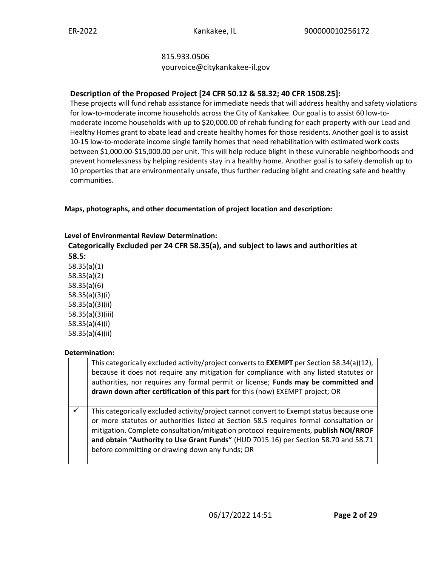# 815.933.0506

yourvoice@citykankakee-il.gov

# **Description of the Proposed Project [24 CFR 50.12 & 58.32; 40 CFR 1508.25]:**

These projects will fund rehab assistance for immediate needs that will address healthy and safety violations for low-to-moderate income households across the City of Kankakee. Our goal is to assist 60 low-tomoderate income households with up to \$20,000.00 of rehab funding for each property with our Lead and Healthy Homes grant to abate lead and create healthy homes for those residents. Another goal is to assist 10-15 low-to-moderate income single family homes that need rehabilitation with estimated work costs between \$1,000.00-\$15,000.00 per unit. This will help reduce blight in these vulnerable neighborhoods and prevent homelessness by helping residents stay in a healthy home. Another goal is to safely demolish up to 10 properties that are environmentally unsafe, thus further reducing blight and creating safe and healthy communities.

**Maps, photographs, and other documentation of project location and description:**

# **Level of Environmental Review Determination:**

**Categorically Excluded per 24 CFR 58.35(a), and subject to laws and authorities at 58.5:** 

58.35(a)(1) 58.35(a)(2) 58.35(a)(6) 58.35(a)(3)(i) 58.35(a)(3)(ii) 58.35(a)(3)(iii) 58.35(a)(4)(i) 58.35(a)(4)(ii)

# **Determination:**

| This categorically excluded activity/project converts to <b>EXEMPT</b> per Section 58.34(a)(12),<br>because it does not require any mitigation for compliance with any listed statutes or<br>authorities, nor requires any formal permit or license; Funds may be committed and<br>drawn down after certification of this part for this (now) EXEMPT project; OR                                                     |
|----------------------------------------------------------------------------------------------------------------------------------------------------------------------------------------------------------------------------------------------------------------------------------------------------------------------------------------------------------------------------------------------------------------------|
| This categorically excluded activity/project cannot convert to Exempt status because one<br>or more statutes or authorities listed at Section 58.5 requires formal consultation or<br>mitigation. Complete consultation/mitigation protocol requirements, publish NOI/RROF<br>and obtain "Authority to Use Grant Funds" (HUD 7015.16) per Section 58.70 and 58.71<br>before committing or drawing down any funds; OR |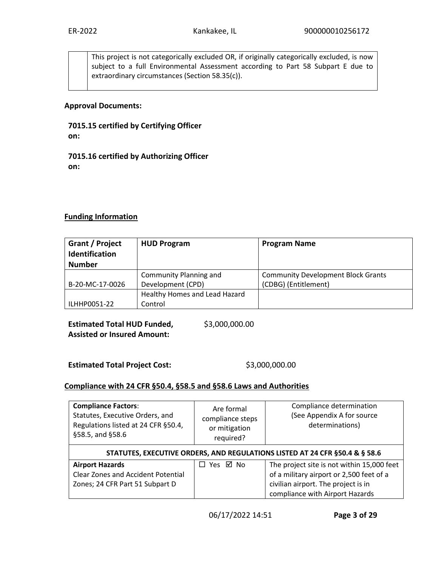This project is not categorically excluded OR, if originally categorically excluded, is now subject to a full Environmental Assessment according to Part 58 Subpart E due to extraordinary circumstances (Section 58.35(c)).

#### **Approval Documents:**

**7015.15 certified by Certifying Officer on:**

**7015.16 certified by Authorizing Officer on:**

### **Funding Information**

| Grant / Project<br><b>Identification</b><br><b>Number</b> | <b>HUD Program</b>            | <b>Program Name</b>                       |
|-----------------------------------------------------------|-------------------------------|-------------------------------------------|
|                                                           | Community Planning and        | <b>Community Development Block Grants</b> |
| B-20-MC-17-0026                                           | Development (CPD)             | (CDBG) (Entitlement)                      |
|                                                           | Healthy Homes and Lead Hazard |                                           |
| ILHHP0051-22                                              | Control                       |                                           |

**Estimated Total HUD Funded, Assisted or Insured Amount:** 

\$3,000,000.00

Estimated Total Project Cost: \$3,000,000.00

#### **Compliance with 24 CFR §50.4, §58.5 and §58.6 Laws and Authorities**

| <b>Compliance Factors:</b><br>Statutes, Executive Orders, and<br>Regulations listed at 24 CFR §50.4,<br>§58.5, and §58.6 | Are formal<br>compliance steps<br>or mitigation<br>required? | Compliance determination<br>(See Appendix A for source<br>determinations) |  |  |  |
|--------------------------------------------------------------------------------------------------------------------------|--------------------------------------------------------------|---------------------------------------------------------------------------|--|--|--|
| STATUTES, EXECUTIVE ORDERS, AND REGULATIONS LISTED AT 24 CFR §50.4 & § 58.6                                              |                                                              |                                                                           |  |  |  |
| <b>Airport Hazards</b>                                                                                                   | □ Yes ☑ No                                                   | The project site is not within 15,000 feet                                |  |  |  |
| <b>Clear Zones and Accident Potential</b>                                                                                |                                                              | of a military airport or 2,500 feet of a                                  |  |  |  |
| Zones; 24 CFR Part 51 Subpart D                                                                                          |                                                              | civilian airport. The project is in                                       |  |  |  |
|                                                                                                                          |                                                              | compliance with Airport Hazards                                           |  |  |  |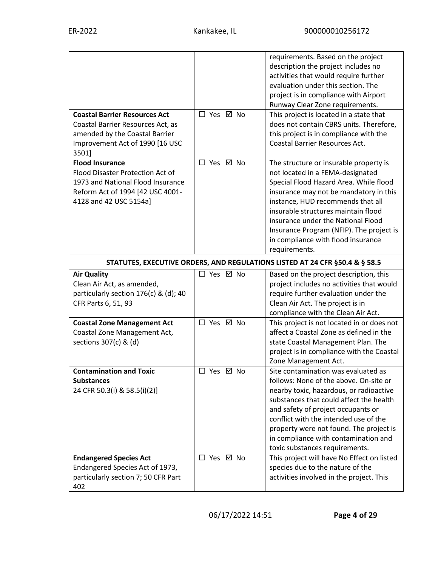| <b>Coastal Barrier Resources Act</b>                                                                                                                          | □ Yes ☑ No | requirements. Based on the project<br>description the project includes no<br>activities that would require further<br>evaluation under this section. The<br>project is in compliance with Airport<br>Runway Clear Zone requirements.                                                                                                                                                |
|---------------------------------------------------------------------------------------------------------------------------------------------------------------|------------|-------------------------------------------------------------------------------------------------------------------------------------------------------------------------------------------------------------------------------------------------------------------------------------------------------------------------------------------------------------------------------------|
| Coastal Barrier Resources Act, as<br>amended by the Coastal Barrier<br>Improvement Act of 1990 [16 USC<br>3501]                                               |            | This project is located in a state that<br>does not contain CBRS units. Therefore,<br>this project is in compliance with the<br><b>Coastal Barrier Resources Act.</b>                                                                                                                                                                                                               |
| <b>Flood Insurance</b><br>Flood Disaster Protection Act of<br>1973 and National Flood Insurance<br>Reform Act of 1994 [42 USC 4001-<br>4128 and 42 USC 5154a] | □ Yes ☑ No | The structure or insurable property is<br>not located in a FEMA-designated<br>Special Flood Hazard Area. While flood<br>insurance may not be mandatory in this<br>instance, HUD recommends that all<br>insurable structures maintain flood<br>insurance under the National Flood<br>Insurance Program (NFIP). The project is<br>in compliance with flood insurance<br>requirements. |
|                                                                                                                                                               |            | STATUTES, EXECUTIVE ORDERS, AND REGULATIONS LISTED AT 24 CFR §50.4 & § 58.5                                                                                                                                                                                                                                                                                                         |
| <b>Air Quality</b><br>Clean Air Act, as amended,<br>particularly section $176(c)$ & (d); 40<br>CFR Parts 6, 51, 93                                            | □ Yes ☑ No | Based on the project description, this<br>project includes no activities that would<br>require further evaluation under the<br>Clean Air Act. The project is in<br>compliance with the Clean Air Act.                                                                                                                                                                               |
| <b>Coastal Zone Management Act</b><br>Coastal Zone Management Act,<br>sections 307(c) & (d)                                                                   | □ Yes ☑ No | This project is not located in or does not<br>affect a Coastal Zone as defined in the<br>state Coastal Management Plan. The<br>project is in compliance with the Coastal<br>Zone Management Act.                                                                                                                                                                                    |
| <b>Contamination and Toxic</b><br><b>Substances</b><br>24 CFR 50.3(i) & 58.5(i)(2)]                                                                           | □ Yes ☑ No | Site contamination was evaluated as<br>follows: None of the above. On-site or<br>nearby toxic, hazardous, or radioactive<br>substances that could affect the health<br>and safety of project occupants or<br>conflict with the intended use of the<br>property were not found. The project is<br>in compliance with contamination and<br>toxic substances requirements.             |
| <b>Endangered Species Act</b><br>Endangered Species Act of 1973,<br>particularly section 7; 50 CFR Part<br>402                                                | □ Yes ☑ No | This project will have No Effect on listed<br>species due to the nature of the<br>activities involved in the project. This                                                                                                                                                                                                                                                          |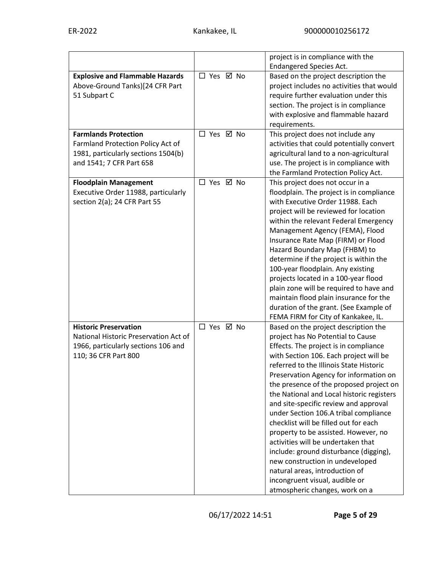|                                        |            | project is in compliance with the         |
|----------------------------------------|------------|-------------------------------------------|
|                                        |            | <b>Endangered Species Act.</b>            |
| <b>Explosive and Flammable Hazards</b> | □ Yes ☑ No | Based on the project description the      |
| Above-Ground Tanks)[24 CFR Part        |            | project includes no activities that would |
| 51 Subpart C                           |            | require further evaluation under this     |
|                                        |            | section. The project is in compliance     |
|                                        |            | with explosive and flammable hazard       |
|                                        |            | requirements.                             |
| <b>Farmlands Protection</b>            | □ Yes ☑ No | This project does not include any         |
| Farmland Protection Policy Act of      |            | activities that could potentially convert |
| 1981, particularly sections 1504(b)    |            | agricultural land to a non-agricultural   |
| and 1541; 7 CFR Part 658               |            | use. The project is in compliance with    |
|                                        |            | the Farmland Protection Policy Act.       |
| <b>Floodplain Management</b>           | □ Yes ☑ No | This project does not occur in a          |
| Executive Order 11988, particularly    |            | floodplain. The project is in compliance  |
| section 2(a); 24 CFR Part 55           |            | with Executive Order 11988. Each          |
|                                        |            | project will be reviewed for location     |
|                                        |            | within the relevant Federal Emergency     |
|                                        |            | Management Agency (FEMA), Flood           |
|                                        |            | Insurance Rate Map (FIRM) or Flood        |
|                                        |            | Hazard Boundary Map (FHBM) to             |
|                                        |            | determine if the project is within the    |
|                                        |            | 100-year floodplain. Any existing         |
|                                        |            | projects located in a 100-year flood      |
|                                        |            | plain zone will be required to have and   |
|                                        |            | maintain flood plain insurance for the    |
|                                        |            | duration of the grant. (See Example of    |
|                                        |            | FEMA FIRM for City of Kankakee, IL.       |
| <b>Historic Preservation</b>           | □ Yes ☑ No | Based on the project description the      |
| National Historic Preservation Act of  |            | project has No Potential to Cause         |
| 1966, particularly sections 106 and    |            | Effects. The project is in compliance     |
| 110; 36 CFR Part 800                   |            | with Section 106. Each project will be    |
|                                        |            | referred to the Illinois State Historic   |
|                                        |            | Preservation Agency for information on    |
|                                        |            | the presence of the proposed project on   |
|                                        |            | the National and Local historic registers |
|                                        |            | and site-specific review and approval     |
|                                        |            | under Section 106.A tribal compliance     |
|                                        |            | checklist will be filled out for each     |
|                                        |            | property to be assisted. However, no      |
|                                        |            | activities will be undertaken that        |
|                                        |            | include: ground disturbance (digging),    |
|                                        |            | new construction in undeveloped           |
|                                        |            | natural areas, introduction of            |
|                                        |            | incongruent visual, audible or            |
|                                        |            | atmospheric changes, work on a            |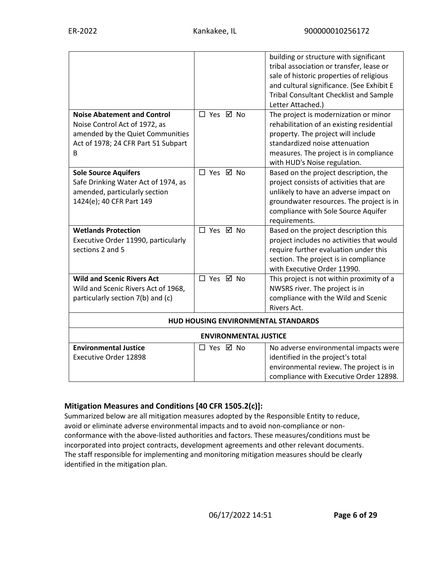|                                     |                                     | building or structure with significant<br>tribal association or transfer, lease or<br>sale of historic properties of religious<br>and cultural significance. (See Exhibit E<br><b>Tribal Consultant Checklist and Sample</b><br>Letter Attached.) |
|-------------------------------------|-------------------------------------|---------------------------------------------------------------------------------------------------------------------------------------------------------------------------------------------------------------------------------------------------|
| <b>Noise Abatement and Control</b>  | □ Yes ☑ No                          | The project is modernization or minor                                                                                                                                                                                                             |
| Noise Control Act of 1972, as       |                                     | rehabilitation of an existing residential                                                                                                                                                                                                         |
| amended by the Quiet Communities    |                                     | property. The project will include                                                                                                                                                                                                                |
| Act of 1978; 24 CFR Part 51 Subpart |                                     | standardized noise attenuation                                                                                                                                                                                                                    |
| B                                   |                                     | measures. The project is in compliance<br>with HUD's Noise regulation.                                                                                                                                                                            |
| <b>Sole Source Aquifers</b>         | □ Yes ☑ No                          | Based on the project description, the                                                                                                                                                                                                             |
| Safe Drinking Water Act of 1974, as |                                     | project consists of activities that are                                                                                                                                                                                                           |
| amended, particularly section       |                                     | unlikely to have an adverse impact on                                                                                                                                                                                                             |
| 1424(e); 40 CFR Part 149            |                                     | groundwater resources. The project is in                                                                                                                                                                                                          |
|                                     |                                     | compliance with Sole Source Aquifer                                                                                                                                                                                                               |
|                                     |                                     | requirements.                                                                                                                                                                                                                                     |
| <b>Wetlands Protection</b>          | □ Yes ☑ No                          | Based on the project description this                                                                                                                                                                                                             |
| Executive Order 11990, particularly |                                     | project includes no activities that would                                                                                                                                                                                                         |
| sections 2 and 5                    |                                     | require further evaluation under this                                                                                                                                                                                                             |
|                                     |                                     | section. The project is in compliance                                                                                                                                                                                                             |
|                                     |                                     | with Executive Order 11990.                                                                                                                                                                                                                       |
| <b>Wild and Scenic Rivers Act</b>   | □ Yes ☑ No                          | This project is not within proximity of a                                                                                                                                                                                                         |
| Wild and Scenic Rivers Act of 1968, |                                     | NWSRS river. The project is in                                                                                                                                                                                                                    |
| particularly section 7(b) and (c)   |                                     | compliance with the Wild and Scenic                                                                                                                                                                                                               |
|                                     |                                     | Rivers Act.                                                                                                                                                                                                                                       |
|                                     | HUD HOUSING ENVIRONMENTAL STANDARDS |                                                                                                                                                                                                                                                   |
|                                     | <b>ENVIRONMENTAL JUSTICE</b>        |                                                                                                                                                                                                                                                   |
| <b>Environmental Justice</b>        | □ Yes ☑ No                          | No adverse environmental impacts were                                                                                                                                                                                                             |
| <b>Executive Order 12898</b>        |                                     | identified in the project's total                                                                                                                                                                                                                 |
|                                     |                                     | environmental review. The project is in                                                                                                                                                                                                           |
|                                     |                                     | compliance with Executive Order 12898.                                                                                                                                                                                                            |

# **Mitigation Measures and Conditions [40 CFR 1505.2(c)]:**

Summarized below are all mitigation measures adopted by the Responsible Entity to reduce, avoid or eliminate adverse environmental impacts and to avoid non-compliance or nonconformance with the above-listed authorities and factors. These measures/conditions must be incorporated into project contracts, development agreements and other relevant documents. The staff responsible for implementing and monitoring mitigation measures should be clearly identified in the mitigation plan.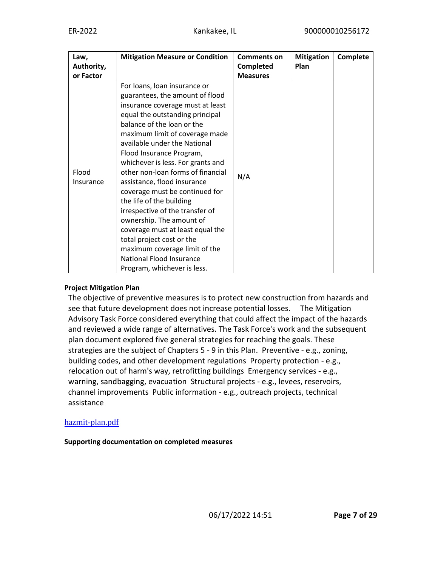| Law,<br>Authority,<br>or Factor | <b>Mitigation Measure or Condition</b>                                                                                                                                                                                                                                                                                                                                                                                                                                                                                                                                                                                                                                | <b>Comments on</b><br>Completed<br><b>Measures</b> | <b>Mitigation</b><br>Plan | Complete |
|---------------------------------|-----------------------------------------------------------------------------------------------------------------------------------------------------------------------------------------------------------------------------------------------------------------------------------------------------------------------------------------------------------------------------------------------------------------------------------------------------------------------------------------------------------------------------------------------------------------------------------------------------------------------------------------------------------------------|----------------------------------------------------|---------------------------|----------|
| Flood<br>Insurance              | For loans, loan insurance or<br>guarantees, the amount of flood<br>insurance coverage must at least<br>equal the outstanding principal<br>balance of the loan or the<br>maximum limit of coverage made<br>available under the National<br>Flood Insurance Program,<br>whichever is less. For grants and<br>other non-loan forms of financial<br>assistance, flood insurance<br>coverage must be continued for<br>the life of the building<br>irrespective of the transfer of<br>ownership. The amount of<br>coverage must at least equal the<br>total project cost or the<br>maximum coverage limit of the<br>National Flood Insurance<br>Program, whichever is less. | N/A                                                |                           |          |

#### **Project Mitigation Plan**

The objective of preventive measures is to protect new construction from hazards and see that future development does not increase potential losses. The Mitigation Advisory Task Force considered everything that could affect the impact of the hazards and reviewed a wide range of alternatives. The Task Force's work and the subsequent plan document explored five general strategies for reaching the goals. These strategies are the subject of Chapters 5 - 9 in this Plan. Preventive - e.g., zoning, building codes, and other development regulations Property protection - e.g., relocation out of harm's way, retrofitting buildings Emergency services - e.g., warning, sandbagging, evacuation Structural projects - e.g., levees, reservoirs, channel improvements Public information - e.g., outreach projects, technical assistance

#### [hazmit-plan.pdf](https://heros.hud.gov/heros/faces/downloadFile.xhtml?erUploadId=900000011378777)

#### **Supporting documentation on completed measures**

06/17/2022 14:51 **Page 7 of 29**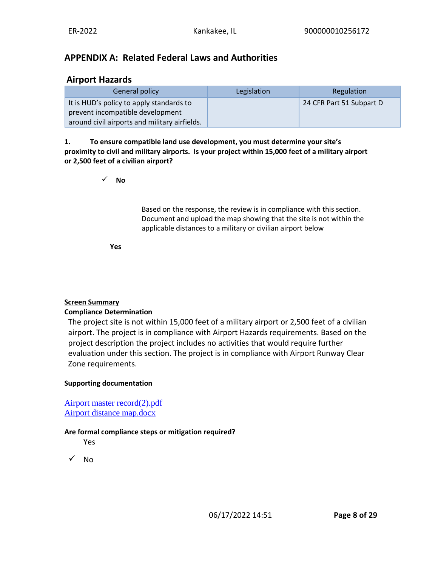# **APPENDIX A: Related Federal Laws and Authorities**

# **Airport Hazards**

| General policy                                | Legislation | Regulation               |
|-----------------------------------------------|-------------|--------------------------|
| It is HUD's policy to apply standards to      |             | 24 CFR Part 51 Subpart D |
| prevent incompatible development              |             |                          |
| around civil airports and military airfields. |             |                          |

**1. To ensure compatible land use development, you must determine your site's proximity to civil and military airports. Is your project within 15,000 feet of a military airport or 2,500 feet of a civilian airport?**

✓ **No**

Based on the response, the review is in compliance with this section. Document and upload the map showing that the site is not within the applicable distances to a military or civilian airport below

**Yes**

# **Screen Summary**

#### **Compliance Determination**

The project site is not within 15,000 feet of a military airport or 2,500 feet of a civilian airport. The project is in compliance with Airport Hazards requirements. Based on the project description the project includes no activities that would require further evaluation under this section. The project is in compliance with Airport Runway Clear Zone requirements.

#### **Supporting documentation**

[Airport master record\(2\).pdf](https://heros.hud.gov/heros/faces/downloadFile.xhtml?erUploadId=900000011375632) [Airport distance map.docx](https://heros.hud.gov/heros/faces/downloadFile.xhtml?erUploadId=900000011375625)

#### **Are formal compliance steps or mitigation required?**

Yes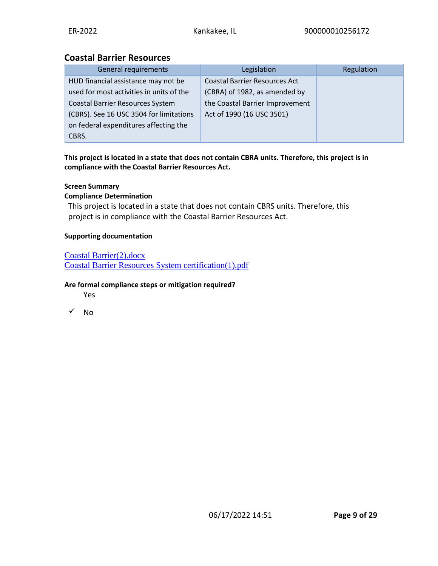# **Coastal Barrier Resources**

| <b>General requirements</b>              | Legislation                          | Regulation |
|------------------------------------------|--------------------------------------|------------|
| HUD financial assistance may not be      | <b>Coastal Barrier Resources Act</b> |            |
| used for most activities in units of the | (CBRA) of 1982, as amended by        |            |
| <b>Coastal Barrier Resources System</b>  | the Coastal Barrier Improvement      |            |
| (CBRS). See 16 USC 3504 for limitations  | Act of 1990 (16 USC 3501)            |            |
| on federal expenditures affecting the    |                                      |            |
| CBRS.                                    |                                      |            |

#### **This project is located in a state that does not contain CBRA units. Therefore, this project is in compliance with the Coastal Barrier Resources Act.**

### **Screen Summary**

#### **Compliance Determination**

This project is located in a state that does not contain CBRS units. Therefore, this project is in compliance with the Coastal Barrier Resources Act.

#### **Supporting documentation**

#### [Coastal Barrier\(2\).docx](https://heros.hud.gov/heros/faces/downloadFile.xhtml?erUploadId=900000011375646)

[Coastal Barrier Resources System certification\(1\).pdf](https://heros.hud.gov/heros/faces/downloadFile.xhtml?erUploadId=900000011375644)

#### **Are formal compliance steps or mitigation required?**

Yes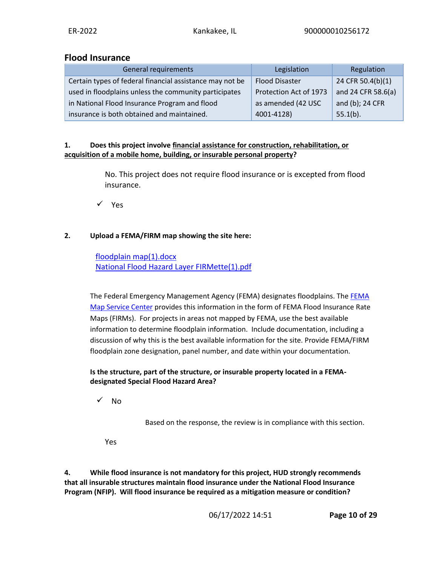# **Flood Insurance**

| General requirements                                     | Legislation            | Regulation         |
|----------------------------------------------------------|------------------------|--------------------|
| Certain types of federal financial assistance may not be | <b>Flood Disaster</b>  | 24 CFR 50.4(b)(1)  |
| used in floodplains unless the community participates    | Protection Act of 1973 | and 24 CFR 58.6(a) |
| in National Flood Insurance Program and flood            | as amended (42 USC     | and (b); 24 CFR    |
| insurance is both obtained and maintained.               | 4001-4128)             | $55.1(b)$ .        |

#### **1. Does this project involve financial assistance for construction, rehabilitation, or acquisition of a mobile home, building, or insurable personal property?**

No. This project does not require flood insurance or is excepted from flood insurance.

✓ Yes

# **2. Upload a FEMA/FIRM map showing the site here:**

# [floodplain map\(1\).docx](https://heros.hud.gov/heros/faces/downloadFile.xhtml?erUploadId=900000011375662) [National Flood Hazard Layer FIRMette\(1\).pdf](https://heros.hud.gov/heros/faces/downloadFile.xhtml?erUploadId=900000011375658)

The Federal Emergency Management Agency (FEMA) designates floodplains. The [FEMA](http://www.msc.fema.gov/)  [Map Service Center](http://www.msc.fema.gov/) provides this information in the form of FEMA Flood Insurance Rate Maps (FIRMs). For projects in areas not mapped by FEMA, use the best available information to determine floodplain information. Include documentation, including a discussion of why this is the best available information for the site. Provide FEMA/FIRM floodplain zone designation, panel number, and date within your documentation.

### **Is the structure, part of the structure, or insurable property located in a FEMAdesignated Special Flood Hazard Area?**

✓ No

Based on the response, the review is in compliance with this section.

Yes

**4. While flood insurance is not mandatory for this project, HUD strongly recommends that all insurable structures maintain flood insurance under the National Flood Insurance Program (NFIP). Will flood insurance be required as a mitigation measure or condition?**

06/17/2022 14:51 **Page 10 of 29**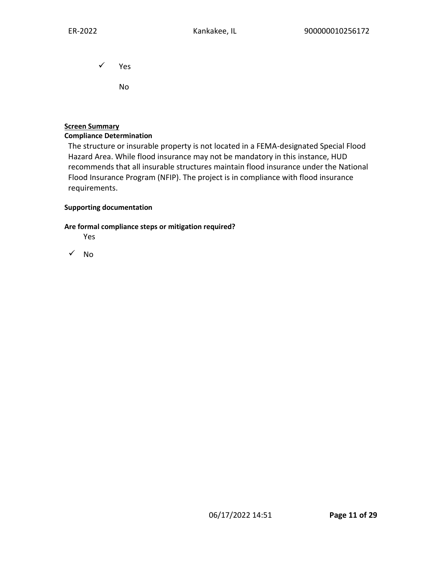✓ Yes

No

### **Screen Summary**

#### **Compliance Determination**

The structure or insurable property is not located in a FEMA-designated Special Flood Hazard Area. While flood insurance may not be mandatory in this instance, HUD recommends that all insurable structures maintain flood insurance under the National Flood Insurance Program (NFIP). The project is in compliance with flood insurance requirements.

#### **Supporting documentation**

#### **Are formal compliance steps or mitigation required?**

Yes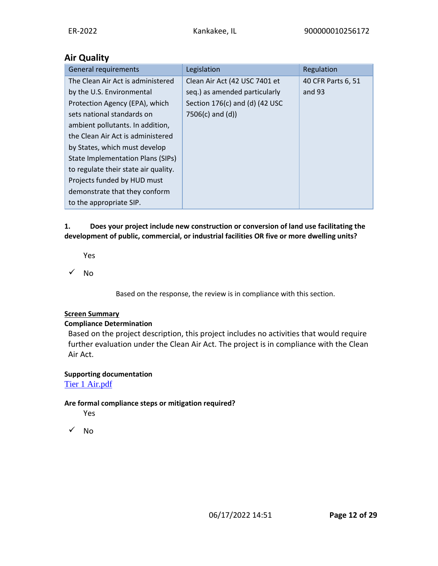# **Air Quality**

| <b>General requirements</b>              | Legislation                    | Regulation         |
|------------------------------------------|--------------------------------|--------------------|
| The Clean Air Act is administered        | Clean Air Act (42 USC 7401 et  | 40 CFR Parts 6, 51 |
| by the U.S. Environmental                | seq.) as amended particularly  | and 93             |
| Protection Agency (EPA), which           | Section 176(c) and (d) (42 USC |                    |
| sets national standards on               | $7506(c)$ and $(d)$ )          |                    |
| ambient pollutants. In addition,         |                                |                    |
| the Clean Air Act is administered        |                                |                    |
| by States, which must develop            |                                |                    |
| <b>State Implementation Plans (SIPs)</b> |                                |                    |
| to regulate their state air quality.     |                                |                    |
| Projects funded by HUD must              |                                |                    |
| demonstrate that they conform            |                                |                    |
| to the appropriate SIP.                  |                                |                    |

### **1. Does your project include new construction or conversion of land use facilitating the development of public, commercial, or industrial facilities OR five or more dwelling units?**

Yes

 $\sqrt{NQ}$ 

Based on the response, the review is in compliance with this section.

# **Screen Summary**

# **Compliance Determination**

Based on the project description, this project includes no activities that would require further evaluation under the Clean Air Act. The project is in compliance with the Clean Air Act.

# **Supporting documentation**

[Tier 1 Air.pdf](https://heros.hud.gov/heros/faces/downloadFile.xhtml?erUploadId=900000011375666)

# **Are formal compliance steps or mitigation required?**

Yes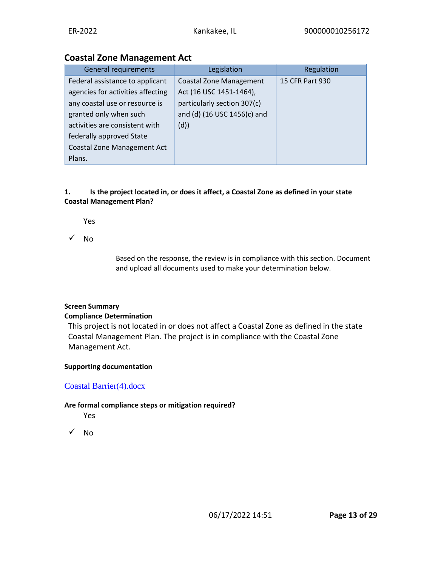# **Coastal Zone Management Act**

| <b>General requirements</b>                                                                                                                                                                                                          | Legislation                                                                                                                    | Regulation      |
|--------------------------------------------------------------------------------------------------------------------------------------------------------------------------------------------------------------------------------------|--------------------------------------------------------------------------------------------------------------------------------|-----------------|
| Federal assistance to applicant<br>agencies for activities affecting<br>any coastal use or resource is<br>granted only when such<br>activities are consistent with<br>federally approved State<br><b>Coastal Zone Management Act</b> | <b>Coastal Zone Management</b><br>Act (16 USC 1451-1464),<br>particularly section 307(c)<br>and (d) (16 USC 1456(c) and<br>(d) | 15 CFR Part 930 |
| Plans.                                                                                                                                                                                                                               |                                                                                                                                |                 |

# **1. Is the project located in, or does it affect, a Coastal Zone as defined in your state Coastal Management Plan?**

Yes

✓ No

Based on the response, the review is in compliance with this section. Document and upload all documents used to make your determination below.

# **Screen Summary**

# **Compliance Determination**

This project is not located in or does not affect a Coastal Zone as defined in the state Coastal Management Plan. The project is in compliance with the Coastal Zone Management Act.

# **Supporting documentation**

# [Coastal Barrier\(4\).docx](https://heros.hud.gov/heros/faces/downloadFile.xhtml?erUploadId=900000011375673)

# **Are formal compliance steps or mitigation required?**

Yes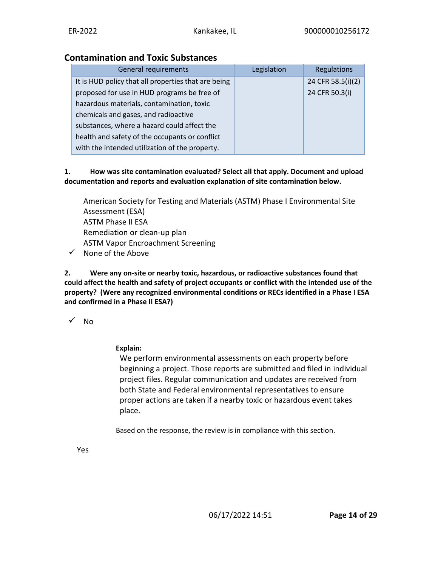# **Contamination and Toxic Substances**

| <b>General requirements</b>                         | Legislation | Regulations       |
|-----------------------------------------------------|-------------|-------------------|
| It is HUD policy that all properties that are being |             | 24 CFR 58.5(i)(2) |
| proposed for use in HUD programs be free of         |             | 24 CFR 50.3(i)    |
| hazardous materials, contamination, toxic           |             |                   |
| chemicals and gases, and radioactive                |             |                   |
| substances, where a hazard could affect the         |             |                   |
| health and safety of the occupants or conflict      |             |                   |
| with the intended utilization of the property.      |             |                   |

### **1. How was site contamination evaluated? Select all that apply. Document and upload documentation and reports and evaluation explanation of site contamination below.**

American Society for Testing and Materials (ASTM) Phase I Environmental Site Assessment (ESA) ASTM Phase II ESA Remediation or clean-up plan ASTM Vapor Encroachment Screening

 $\checkmark$  None of the Above

**2. Were any on-site or nearby toxic, hazardous, or radioactive substances found that could affect the health and safety of project occupants or conflict with the intended use of the property? (Were any recognized environmental conditions or RECs identified in a Phase I ESA and confirmed in a Phase II ESA?)**

✓ No

**Explain:**

We perform environmental assessments on each property before beginning a project. Those reports are submitted and filed in individual project files. Regular communication and updates are received from both State and Federal environmental representatives to ensure proper actions are taken if a nearby toxic or hazardous event takes place.

Based on the response, the review is in compliance with this section.

Yes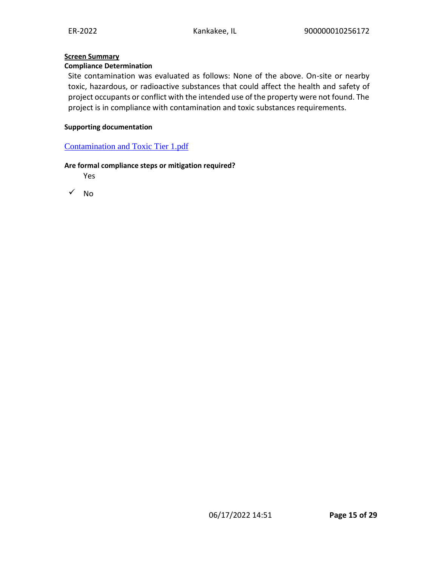### **Screen Summary**

#### **Compliance Determination**

Site contamination was evaluated as follows: None of the above. On-site or nearby toxic, hazardous, or radioactive substances that could affect the health and safety of project occupants or conflict with the intended use of the property were not found. The project is in compliance with contamination and toxic substances requirements.

#### **Supporting documentation**

#### [Contamination and Toxic Tier 1.pdf](https://heros.hud.gov/heros/faces/downloadFile.xhtml?erUploadId=900000011375682)

#### **Are formal compliance steps or mitigation required?**

Yes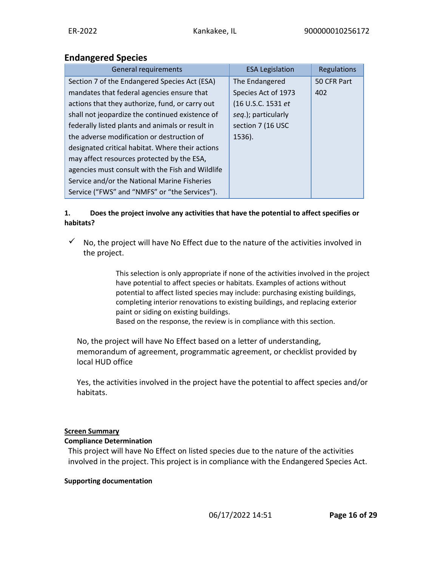# **Endangered Species**

| <b>General requirements</b>                      | <b>ESA Legislation</b> | Regulations |
|--------------------------------------------------|------------------------|-------------|
| Section 7 of the Endangered Species Act (ESA)    | The Endangered         | 50 CFR Part |
| mandates that federal agencies ensure that       | Species Act of 1973    | 402         |
| actions that they authorize, fund, or carry out  | (16 U.S.C. 1531 et     |             |
| shall not jeopardize the continued existence of  | seq.); particularly    |             |
| federally listed plants and animals or result in | section 7 (16 USC      |             |
| the adverse modification or destruction of       | 1536).                 |             |
| designated critical habitat. Where their actions |                        |             |
| may affect resources protected by the ESA,       |                        |             |
| agencies must consult with the Fish and Wildlife |                        |             |
| Service and/or the National Marine Fisheries     |                        |             |
| Service ("FWS" and "NMFS" or "the Services").    |                        |             |

### **1. Does the project involve any activities that have the potential to affect specifies or habitats?**

 $\checkmark$  No, the project will have No Effect due to the nature of the activities involved in the project.

> This selection is only appropriate if none of the activities involved in the project have potential to affect species or habitats. Examples of actions without potential to affect listed species may include: purchasing existing buildings, completing interior renovations to existing buildings, and replacing exterior paint or siding on existing buildings.

Based on the response, the review is in compliance with this section.

No, the project will have No Effect based on a letter of understanding, memorandum of agreement, programmatic agreement, or checklist provided by local HUD office

Yes, the activities involved in the project have the potential to affect species and/or habitats.

# **Screen Summary**

# **Compliance Determination**

This project will have No Effect on listed species due to the nature of the activities involved in the project. This project is in compliance with the Endangered Species Act.

# **Supporting documentation**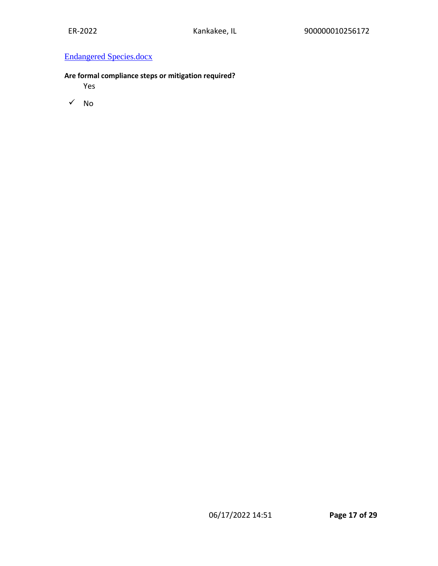# [Endangered Species.docx](https://heros.hud.gov/heros/faces/downloadFile.xhtml?erUploadId=900000011377233)

# **Are formal compliance steps or mitigation required?**

Yes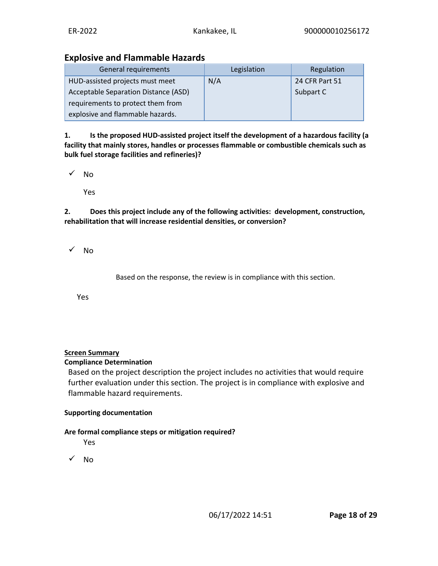# **Explosive and Flammable Hazards**

| General requirements                 | Legislation | Regulation     |
|--------------------------------------|-------------|----------------|
| HUD-assisted projects must meet      | N/A         | 24 CFR Part 51 |
| Acceptable Separation Distance (ASD) |             | Subpart C      |
| requirements to protect them from    |             |                |
| explosive and flammable hazards.     |             |                |

**1. Is the proposed HUD-assisted project itself the development of a hazardous facility (a facility that mainly stores, handles or processes flammable or combustible chemicals such as bulk fuel storage facilities and refineries)?**

✓ No

Yes

**2. Does this project include any of the following activities: development, construction, rehabilitation that will increase residential densities, or conversion?**

✓ No

Based on the response, the review is in compliance with this section.

Yes

# **Screen Summary**

#### **Compliance Determination**

Based on the project description the project includes no activities that would require further evaluation under this section. The project is in compliance with explosive and flammable hazard requirements.

#### **Supporting documentation**

# **Are formal compliance steps or mitigation required?**

Yes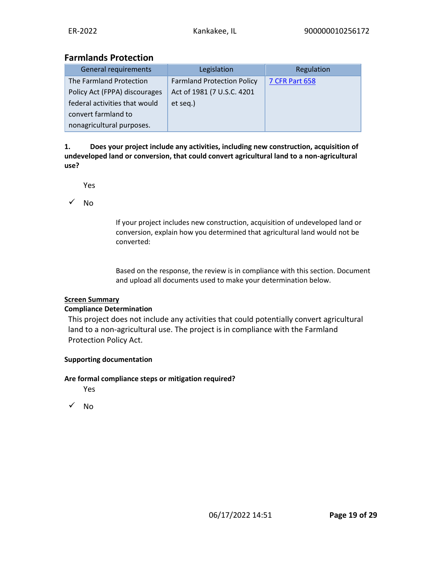# **Farmlands Protection**

| General requirements          | Legislation                       | Regulation            |
|-------------------------------|-----------------------------------|-----------------------|
| The Farmland Protection       | <b>Farmland Protection Policy</b> | <b>7 CFR Part 658</b> |
| Policy Act (FPPA) discourages | Act of 1981 (7 U.S.C. 4201        |                       |
| federal activities that would | et seq.)                          |                       |
| convert farmland to           |                                   |                       |
| nonagricultural purposes.     |                                   |                       |

**1. Does your project include any activities, including new construction, acquisition of undeveloped land or conversion, that could convert agricultural land to a non-agricultural use?**

Yes

✓ No

If your project includes new construction, acquisition of undeveloped land or conversion, explain how you determined that agricultural land would not be converted:

Based on the response, the review is in compliance with this section. Document and upload all documents used to make your determination below.

# **Screen Summary**

# **Compliance Determination**

This project does not include any activities that could potentially convert agricultural land to a non-agricultural use. The project is in compliance with the Farmland Protection Policy Act.

# **Supporting documentation**

#### **Are formal compliance steps or mitigation required?**

Yes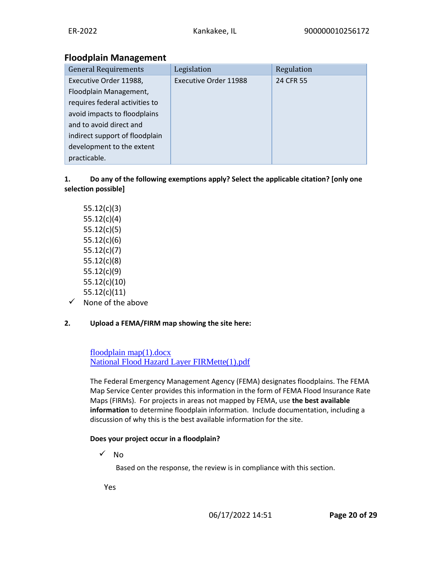# **Floodplain Management**

| <b>General Requirements</b>    | Legislation                  | Regulation |
|--------------------------------|------------------------------|------------|
| Executive Order 11988,         | <b>Executive Order 11988</b> | 24 CFR 55  |
| Floodplain Management,         |                              |            |
| requires federal activities to |                              |            |
| avoid impacts to floodplains   |                              |            |
| and to avoid direct and        |                              |            |
| indirect support of floodplain |                              |            |
| development to the extent      |                              |            |
| practicable.                   |                              |            |

# **1. Do any of the following exemptions apply? Select the applicable citation? [only one selection possible]**

- 55.12(c)(3) 55.12(c)(4) 55.12(c)(5) 55.12(c)(6) 55.12(c)(7) 55.12(c)(8) 55.12(c)(9) 55.12(c)(10) 55.12(c)(11)
- ✓ None of the above

# **2. Upload a FEMA/FIRM map showing the site here:**

[floodplain map\(1\).docx](https://heros.hud.gov/heros/faces/downloadFile.xhtml?erUploadId=900000011375662) [National Flood Hazard Layer FIRMette\(1\).pdf](https://heros.hud.gov/heros/faces/downloadFile.xhtml?erUploadId=900000011375658)

The Federal Emergency Management Agency (FEMA) designates floodplains. The FEMA Map Service Center provides this information in the form of FEMA Flood Insurance Rate Maps (FIRMs). For projects in areas not mapped by FEMA, use **the best available information** to determine floodplain information. Include documentation, including a discussion of why this is the best available information for the site.

# **Does your project occur in a floodplain?**

✓ No

Based on the response, the review is in compliance with this section.

Yes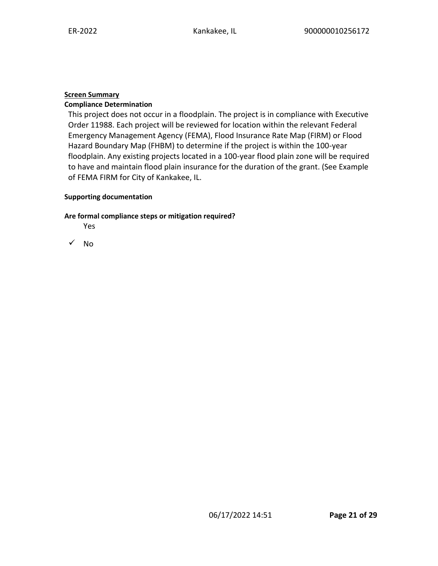# **Screen Summary**

### **Compliance Determination**

This project does not occur in a floodplain. The project is in compliance with Executive Order 11988. Each project will be reviewed for location within the relevant Federal Emergency Management Agency (FEMA), Flood Insurance Rate Map (FIRM) or Flood Hazard Boundary Map (FHBM) to determine if the project is within the 100-year floodplain. Any existing projects located in a 100-year flood plain zone will be required to have and maintain flood plain insurance for the duration of the grant. (See Example of FEMA FIRM for City of Kankakee, IL.

#### **Supporting documentation**

#### **Are formal compliance steps or mitigation required?**

Yes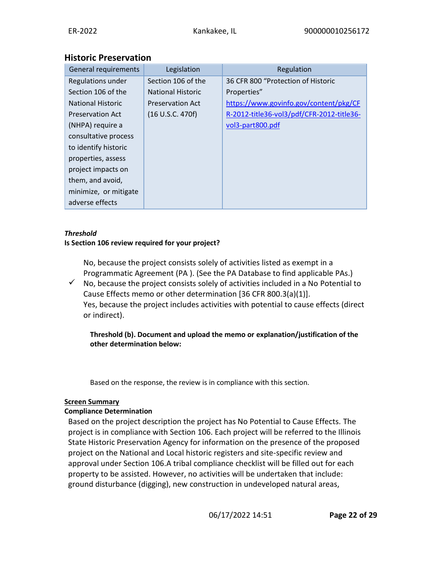# **Historic Preservation**

| General requirements     | Legislation              | Regulation                                |
|--------------------------|--------------------------|-------------------------------------------|
| Regulations under        | Section 106 of the       | 36 CFR 800 "Protection of Historic        |
| Section 106 of the       | <b>National Historic</b> | Properties"                               |
| <b>National Historic</b> | <b>Preservation Act</b>  | https://www.govinfo.gov/content/pkg/CF    |
| <b>Preservation Act</b>  | (16 U.S.C. 470f)         | R-2012-title36-vol3/pdf/CFR-2012-title36- |
| (NHPA) require a         |                          | vol3-part800.pdf                          |
| consultative process     |                          |                                           |
| to identify historic     |                          |                                           |
| properties, assess       |                          |                                           |
| project impacts on       |                          |                                           |
| them, and avoid,         |                          |                                           |
| minimize, or mitigate    |                          |                                           |
| adverse effects          |                          |                                           |

### *Threshold*

### **Is Section 106 review required for your project?**

No, because the project consists solely of activities listed as exempt in a Programmatic Agreement (PA ). (See the PA Database to find applicable PAs.)

 $\checkmark$  No, because the project consists solely of activities included in a No Potential to Cause Effects memo or other determination [36 CFR 800.3(a)(1)]. Yes, because the project includes activities with potential to cause effects (direct or indirect).

**Threshold (b). Document and upload the memo or explanation/justification of the other determination below:**

Based on the response, the review is in compliance with this section.

# **Screen Summary**

# **Compliance Determination**

Based on the project description the project has No Potential to Cause Effects. The project is in compliance with Section 106. Each project will be referred to the Illinois State Historic Preservation Agency for information on the presence of the proposed project on the National and Local historic registers and site-specific review and approval under Section 106.A tribal compliance checklist will be filled out for each property to be assisted. However, no activities will be undertaken that include: ground disturbance (digging), new construction in undeveloped natural areas,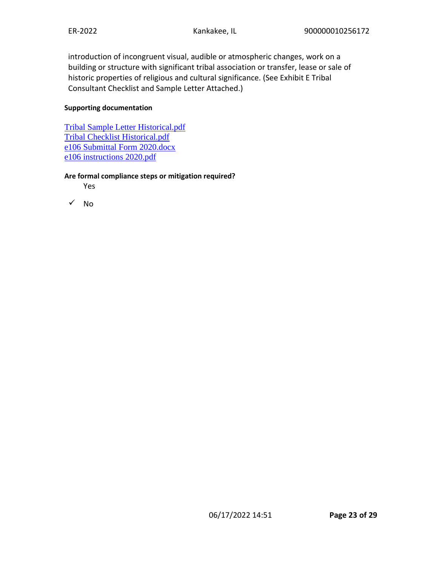introduction of incongruent visual, audible or atmospheric changes, work on a building or structure with significant tribal association or transfer, lease or sale of historic properties of religious and cultural significance. (See Exhibit E Tribal Consultant Checklist and Sample Letter Attached.)

#### **Supporting documentation**

[Tribal Sample Letter Historical.pdf](https://heros.hud.gov/heros/faces/downloadFile.xhtml?erUploadId=900000011377733) [Tribal Checklist Historical.pdf](https://heros.hud.gov/heros/faces/downloadFile.xhtml?erUploadId=900000011377732) [e106 Submittal Form 2020.docx](https://heros.hud.gov/heros/faces/downloadFile.xhtml?erUploadId=900000011377730) [e106 instructions 2020.pdf](https://heros.hud.gov/heros/faces/downloadFile.xhtml?erUploadId=900000011377729)

#### **Are formal compliance steps or mitigation required?**

Yes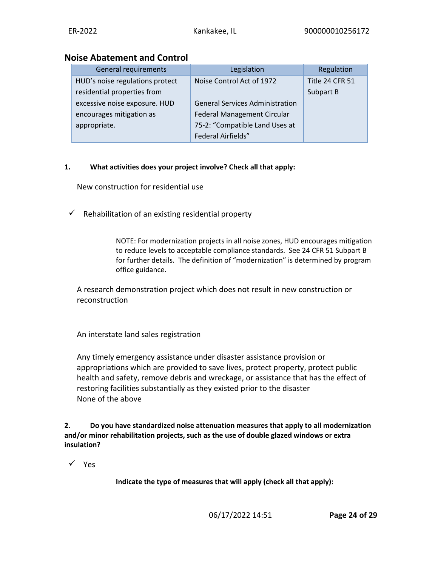# **Noise Abatement and Control**

| General requirements            | Legislation                            | Regulation      |
|---------------------------------|----------------------------------------|-----------------|
| HUD's noise regulations protect | Noise Control Act of 1972              | Title 24 CFR 51 |
| residential properties from     |                                        | Subpart B       |
| excessive noise exposure. HUD   | <b>General Services Administration</b> |                 |
| encourages mitigation as        | <b>Federal Management Circular</b>     |                 |
| appropriate.                    | 75-2: "Compatible Land Uses at         |                 |
|                                 | <b>Federal Airfields"</b>              |                 |

# **1. What activities does your project involve? Check all that apply:**

New construction for residential use

 $\checkmark$  Rehabilitation of an existing residential property

NOTE: For modernization projects in all noise zones, HUD encourages mitigation to reduce levels to acceptable compliance standards. See 24 CFR 51 Subpart B for further details. The definition of "modernization" is determined by program office guidance.

A research demonstration project which does not result in new construction or reconstruction

An interstate land sales registration

Any timely emergency assistance under disaster assistance provision or appropriations which are provided to save lives, protect property, protect public health and safety, remove debris and wreckage, or assistance that has the effect of restoring facilities substantially as they existed prior to the disaster None of the above

**2. Do you have standardized noise attenuation measures that apply to all modernization and/or minor rehabilitation projects, such as the use of double glazed windows or extra insulation?**

✓ Yes

**Indicate the type of measures that will apply (check all that apply):**

06/17/2022 14:51 **Page 24 of 29**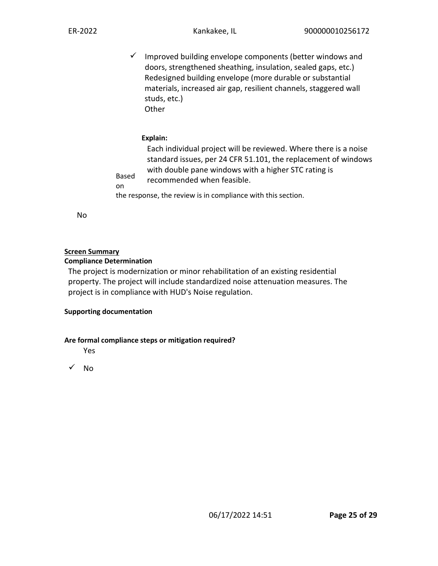$\checkmark$  Improved building envelope components (better windows and doors, strengthened sheathing, insulation, sealed gaps, etc.) Redesigned building envelope (more durable or substantial materials, increased air gap, resilient channels, staggered wall studs, etc.) **Other** 

### **Explain:**

Based on the response, the review is in compliance with this section. Each individual project will be reviewed. Where there is a noise standard issues, per 24 CFR 51.101, the replacement of windows with double pane windows with a higher STC rating is recommended when feasible.

No

#### **Screen Summary**

#### **Compliance Determination**

The project is modernization or minor rehabilitation of an existing residential property. The project will include standardized noise attenuation measures. The project is in compliance with HUD's Noise regulation.

#### **Supporting documentation**

#### **Are formal compliance steps or mitigation required?**

Yes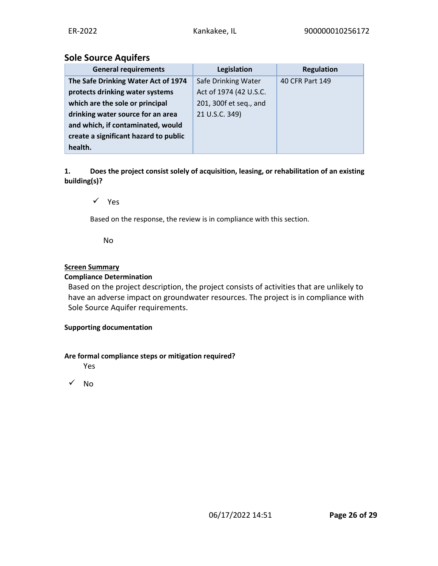# **Sole Source Aquifers**

| <b>General requirements</b>           | Legislation            | <b>Regulation</b> |
|---------------------------------------|------------------------|-------------------|
| The Safe Drinking Water Act of 1974   | Safe Drinking Water    | 40 CFR Part 149   |
| protects drinking water systems       | Act of 1974 (42 U.S.C. |                   |
| which are the sole or principal       | 201, 300f et seq., and |                   |
| drinking water source for an area     | 21 U.S.C. 349)         |                   |
| and which, if contaminated, would     |                        |                   |
| create a significant hazard to public |                        |                   |
| health.                               |                        |                   |

**1. Does the project consist solely of acquisition, leasing, or rehabilitation of an existing building(s)?**

✓ Yes

Based on the response, the review is in compliance with this section.

No

### **Screen Summary**

### **Compliance Determination**

Based on the project description, the project consists of activities that are unlikely to have an adverse impact on groundwater resources. The project is in compliance with Sole Source Aquifer requirements.

#### **Supporting documentation**

#### **Are formal compliance steps or mitigation required?**

Yes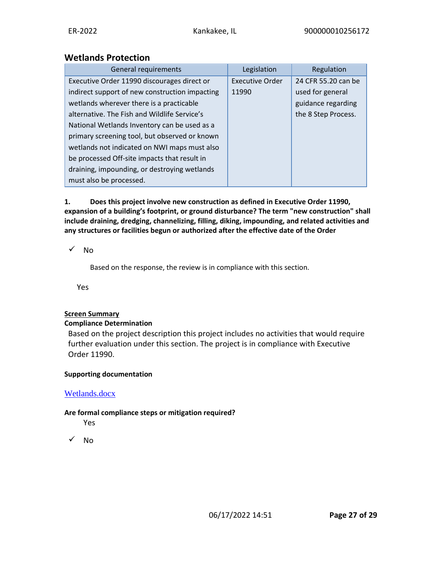# **Wetlands Protection**

| General requirements                           | Legislation            | Regulation          |
|------------------------------------------------|------------------------|---------------------|
| Executive Order 11990 discourages direct or    | <b>Executive Order</b> | 24 CFR 55.20 can be |
| indirect support of new construction impacting | 11990                  | used for general    |
| wetlands wherever there is a practicable       |                        | guidance regarding  |
| alternative. The Fish and Wildlife Service's   |                        | the 8 Step Process. |
| National Wetlands Inventory can be used as a   |                        |                     |
| primary screening tool, but observed or known  |                        |                     |
| wetlands not indicated on NWI maps must also   |                        |                     |
| be processed Off-site impacts that result in   |                        |                     |
| draining, impounding, or destroying wetlands   |                        |                     |
| must also be processed.                        |                        |                     |

**1. Does this project involve new construction as defined in Executive Order 11990, expansion of a building's footprint, or ground disturbance? The term "new construction" shall include draining, dredging, channelizing, filling, diking, impounding, and related activities and any structures or facilities begun or authorized after the effective date of the Order**

### ✓ No

Based on the response, the review is in compliance with this section.

Yes

#### **Screen Summary**

#### **Compliance Determination**

Based on the project description this project includes no activities that would require further evaluation under this section. The project is in compliance with Executive Order 11990.

#### **Supporting documentation**

# [Wetlands.docx](https://heros.hud.gov/heros/faces/downloadFile.xhtml?erUploadId=900000011377766)

#### **Are formal compliance steps or mitigation required?**

Yes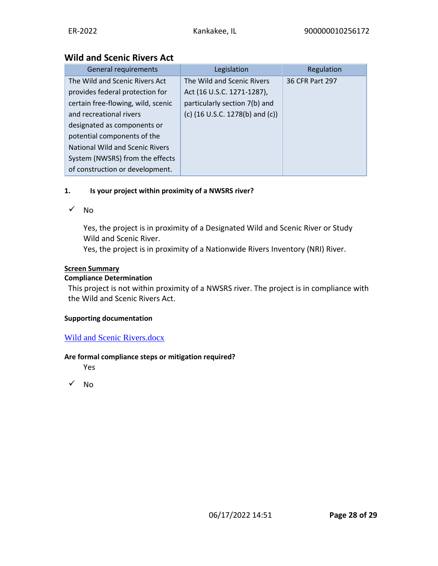# **Wild and Scenic Rivers Act**

| <b>General requirements</b>        | Legislation                                         | Regulation      |
|------------------------------------|-----------------------------------------------------|-----------------|
| The Wild and Scenic Rivers Act     | The Wild and Scenic Rivers                          | 36 CFR Part 297 |
| provides federal protection for    | Act (16 U.S.C. 1271-1287),                          |                 |
| certain free-flowing, wild, scenic | particularly section 7(b) and                       |                 |
| and recreational rivers            | (c) $(16 \text{ U.S.C. } 1278 \text{ (b) and (c)})$ |                 |
| designated as components or        |                                                     |                 |
| potential components of the        |                                                     |                 |
| National Wild and Scenic Rivers    |                                                     |                 |
| System (NWSRS) from the effects    |                                                     |                 |
| of construction or development.    |                                                     |                 |

# **1. Is your project within proximity of a NWSRS river?**

### ✓ No

Yes, the project is in proximity of a Designated Wild and Scenic River or Study Wild and Scenic River.

Yes, the project is in proximity of a Nationwide Rivers Inventory (NRI) River.

### **Screen Summary**

#### **Compliance Determination**

This project is not within proximity of a NWSRS river. The project is in compliance with the Wild and Scenic Rivers Act.

#### **Supporting documentation**

# [Wild and Scenic Rivers.docx](https://heros.hud.gov/heros/faces/downloadFile.xhtml?erUploadId=900000011377777)

#### **Are formal compliance steps or mitigation required?**

Yes